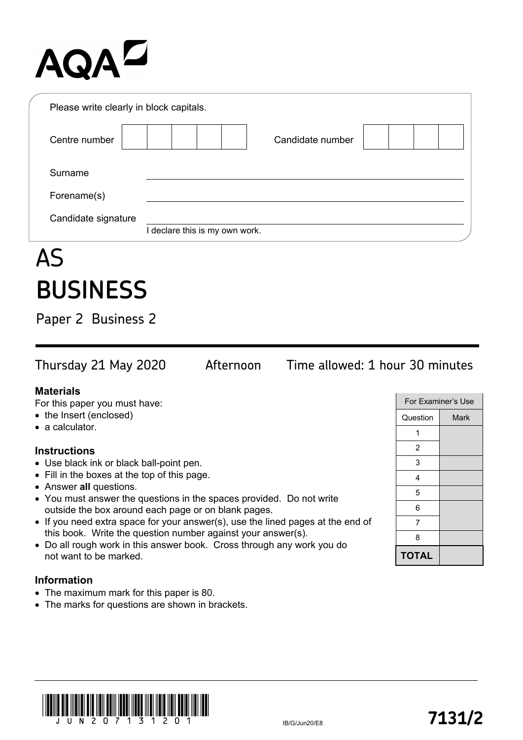# **AQAZ**

| Please write clearly in block capitals. |                                |
|-----------------------------------------|--------------------------------|
| Centre number                           | Candidate number               |
| Surname                                 |                                |
| Forename(s)                             |                                |
| Candidate signature                     |                                |
|                                         | I declare this is my own work. |

## AS **BUSINESS**

Paper 2 Business 2

Thursday 21 May 2020 Afternoon Time allowed: 1 hour 30 minutes

### **Materials**

For this paper you must have:

- the Insert (enclosed)
- a calculator.

#### **Instructions**

- Use black ink or black ball-point pen.
- Fill in the boxes at the top of this page.
- Answer **all** questions.
- You must answer the questions in the spaces provided. Do not write outside the box around each page or on blank pages.
- If you need extra space for your answer(s), use the lined pages at the end of this book. Write the question number against your answer(s).
- Do all rough work in this answer book. Cross through any work you do not want to be marked.

### **Information**

- The maximum mark for this paper is 80.
- The marks for questions are shown in brackets.

|              | <b>For Examiner's Use</b> |
|--------------|---------------------------|
| Question     | <b>Mark</b>               |
| 1            |                           |
| 2            |                           |
| 3            |                           |
| 4            |                           |
| 5            |                           |
| 6            |                           |
| 7            |                           |
| 8            |                           |
| <b>TOTAL</b> |                           |

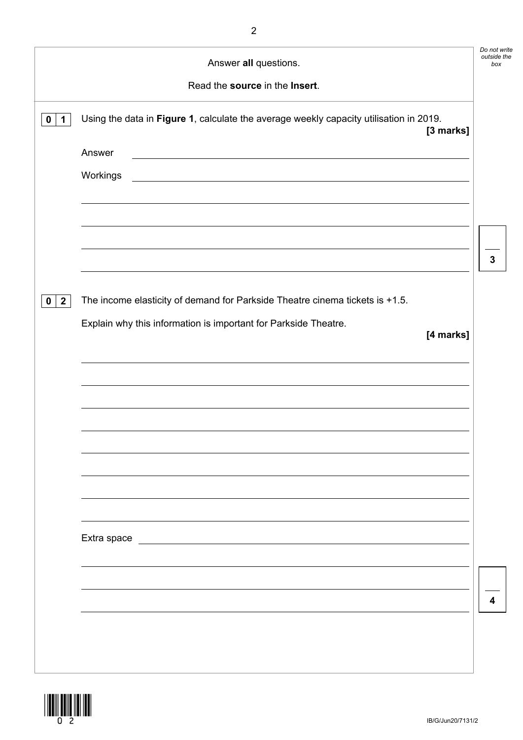|                     | Answer all questions.                                                                                                             | Do not write<br>outside the<br>box |
|---------------------|-----------------------------------------------------------------------------------------------------------------------------------|------------------------------------|
|                     | Read the source in the Insert.                                                                                                    |                                    |
| 0<br>$\mathbf 1$    | Using the data in Figure 1, calculate the average weekly capacity utilisation in 2019.<br>[3 marks]                               |                                    |
|                     | Answer<br><u> 1989 - Johann Stoff, deutscher Stoff, der Stoff, der Stoff, der Stoff, der Stoff, der Stoff, der Stoff, der S</u>   |                                    |
|                     | Workings<br><u> 1980 - Johann Stoff, deutscher Stoffen und der Stoffen und der Stoffen und der Stoffen und der Stoffen und de</u> |                                    |
|                     |                                                                                                                                   |                                    |
|                     |                                                                                                                                   |                                    |
|                     |                                                                                                                                   | $\mathbf{3}$                       |
| $\overline{2}$<br>0 | The income elasticity of demand for Parkside Theatre cinema tickets is +1.5.                                                      |                                    |
|                     | Explain why this information is important for Parkside Theatre.<br>[4 marks]                                                      |                                    |
|                     |                                                                                                                                   |                                    |
|                     |                                                                                                                                   |                                    |
|                     |                                                                                                                                   |                                    |
|                     |                                                                                                                                   |                                    |
|                     |                                                                                                                                   |                                    |
|                     |                                                                                                                                   |                                    |
|                     | Extra space                                                                                                                       |                                    |
|                     |                                                                                                                                   |                                    |
|                     |                                                                                                                                   |                                    |
|                     |                                                                                                                                   | 4                                  |

2

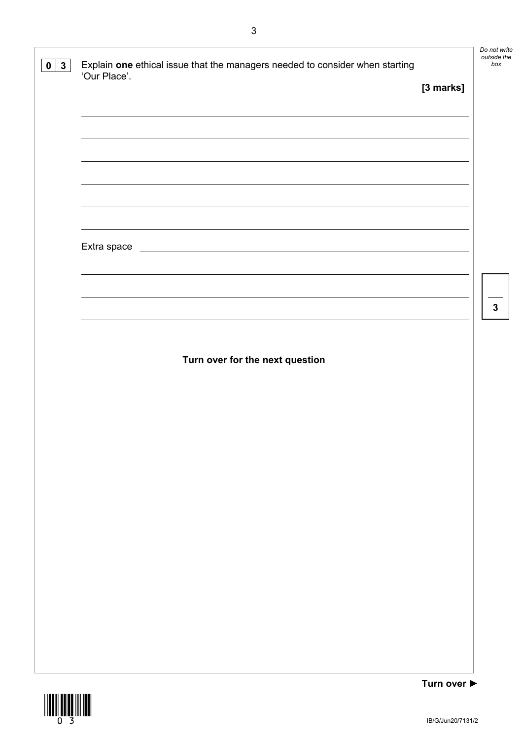| $0 \mid 3 \mid$ | Explain one ethical issue that the managers needed to consider when starting<br>'Our Place'. |             | Do not write<br>outside the<br>box |
|-----------------|----------------------------------------------------------------------------------------------|-------------|------------------------------------|
|                 |                                                                                              | [3 marks]   |                                    |
|                 |                                                                                              |             |                                    |
|                 |                                                                                              |             |                                    |
|                 |                                                                                              |             |                                    |
|                 |                                                                                              |             |                                    |
|                 |                                                                                              |             |                                    |
|                 | Extra space<br><u> 1980 - Johann Barbara, martxa amerikan bashkar (</u>                      |             |                                    |
|                 |                                                                                              |             |                                    |
|                 |                                                                                              |             | $\mathbf{3}$                       |
|                 |                                                                                              |             |                                    |
|                 | Turn over for the next question                                                              |             |                                    |
|                 |                                                                                              |             |                                    |
|                 |                                                                                              |             |                                    |
|                 |                                                                                              |             |                                    |
|                 |                                                                                              |             |                                    |
|                 |                                                                                              |             |                                    |
|                 |                                                                                              |             |                                    |
|                 |                                                                                              |             |                                    |
|                 |                                                                                              |             |                                    |
|                 |                                                                                              |             |                                    |
|                 |                                                                                              |             |                                    |
|                 |                                                                                              |             |                                    |
|                 |                                                                                              |             |                                    |
|                 |                                                                                              | Turn over ▶ |                                    |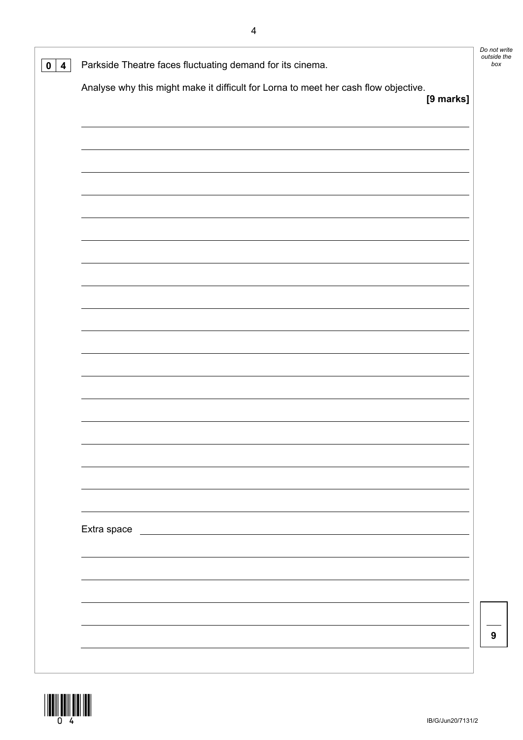| Analyse why this might make it difficult for Lorna to meet her cash flow objective. |           |   |
|-------------------------------------------------------------------------------------|-----------|---|
|                                                                                     | [9 marks] |   |
|                                                                                     |           |   |
|                                                                                     |           |   |
|                                                                                     |           |   |
|                                                                                     |           |   |
|                                                                                     |           |   |
|                                                                                     |           |   |
|                                                                                     |           |   |
|                                                                                     |           |   |
|                                                                                     |           |   |
|                                                                                     |           |   |
|                                                                                     |           |   |
|                                                                                     |           |   |
|                                                                                     |           |   |
|                                                                                     |           |   |
|                                                                                     |           |   |
|                                                                                     |           |   |
| Extra space                                                                         |           |   |
|                                                                                     |           |   |
|                                                                                     |           |   |
|                                                                                     |           |   |
|                                                                                     |           | 9 |

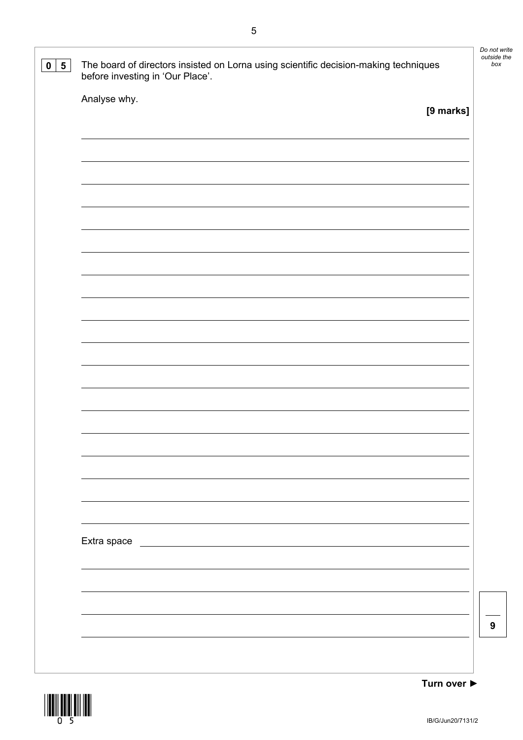| The board of directors insisted on Lorna using scientific decision-making techniques<br>before investing in 'Our Place'. |           |
|--------------------------------------------------------------------------------------------------------------------------|-----------|
| Analyse why.                                                                                                             | [9 marks] |
|                                                                                                                          |           |
|                                                                                                                          |           |
|                                                                                                                          |           |
|                                                                                                                          |           |
|                                                                                                                          |           |
|                                                                                                                          |           |
|                                                                                                                          |           |
|                                                                                                                          |           |
|                                                                                                                          |           |
|                                                                                                                          |           |
|                                                                                                                          |           |
|                                                                                                                          |           |
|                                                                                                                          |           |
|                                                                                                                          |           |
|                                                                                                                          |           |
|                                                                                                                          |           |
|                                                                                                                          |           |
|                                                                                                                          |           |
| Extra space                                                                                                              |           |
|                                                                                                                          |           |
|                                                                                                                          |           |
|                                                                                                                          |           |
|                                                                                                                          |           |

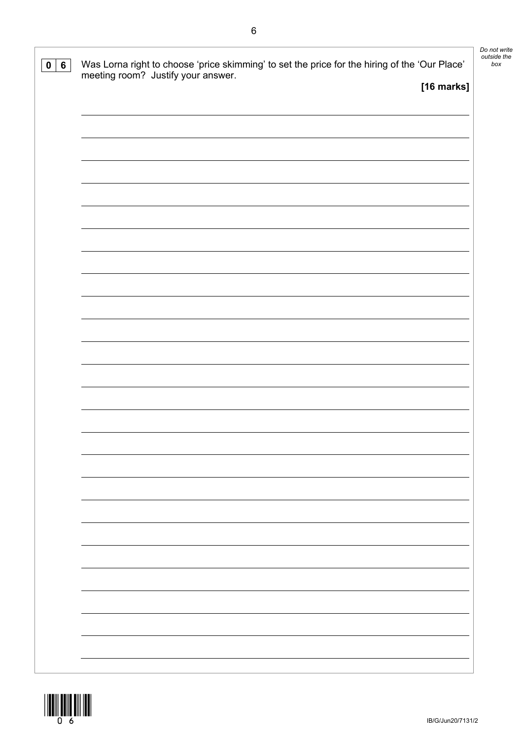| 0   6 | Was Lorna right to choose 'price skimming' to set the price for the hiring of the 'Our Place'<br>meeting room? Justify your answer.<br>[16 marks] | Do not write<br>outside the<br>box |
|-------|---------------------------------------------------------------------------------------------------------------------------------------------------|------------------------------------|
|       |                                                                                                                                                   |                                    |
|       |                                                                                                                                                   |                                    |
|       |                                                                                                                                                   |                                    |
|       |                                                                                                                                                   |                                    |
|       |                                                                                                                                                   |                                    |
|       |                                                                                                                                                   |                                    |
|       |                                                                                                                                                   |                                    |
|       |                                                                                                                                                   |                                    |
|       |                                                                                                                                                   |                                    |
|       |                                                                                                                                                   |                                    |
|       |                                                                                                                                                   |                                    |
|       |                                                                                                                                                   |                                    |
|       |                                                                                                                                                   |                                    |
|       |                                                                                                                                                   |                                    |
|       |                                                                                                                                                   |                                    |

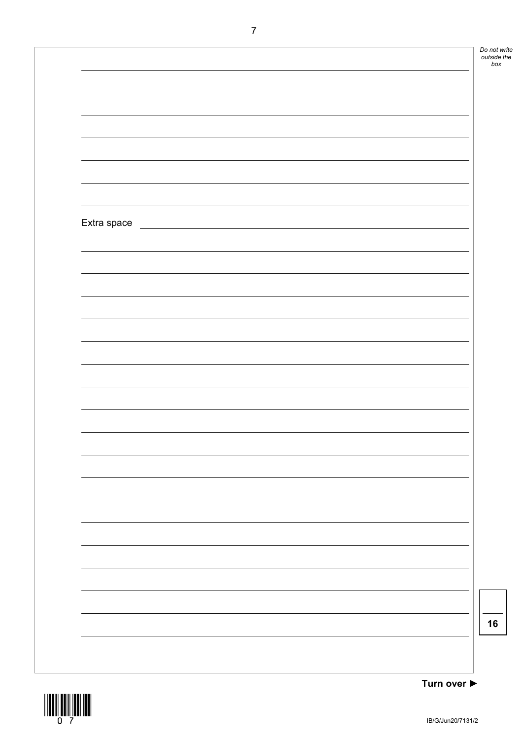*Do not write outside the box*

| Extra space |  |  |
|-------------|--|--|
|             |  |  |
|             |  |  |
|             |  |  |
|             |  |  |
|             |  |  |
|             |  |  |
|             |  |  |
|             |  |  |
|             |  |  |
|             |  |  |
|             |  |  |
|             |  |  |
|             |  |  |
|             |  |  |
|             |  |  |
|             |  |  |
|             |  |  |
|             |  |  |
|             |  |  |
|             |  |  |
|             |  |  |
|             |  |  |
|             |  |  |
|             |  |  |
|             |  |  |
|             |  |  |
|             |  |  |
|             |  |  |
|             |  |  |
|             |  |  |



**Turn over ►**

**16**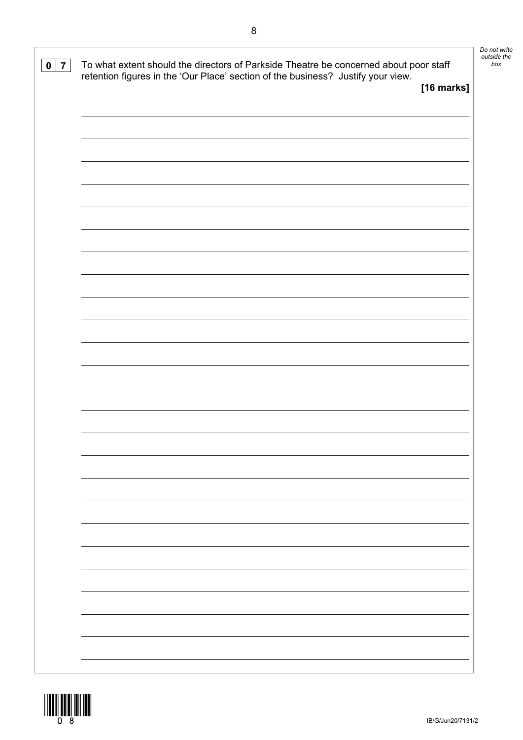| To what extent should the directors of Parkside Theatre be concerned about poor staff<br>$0 \mid 7$<br>retention figures in the 'Our Place' section of the business? Justify your view. |            |
|-----------------------------------------------------------------------------------------------------------------------------------------------------------------------------------------|------------|
|                                                                                                                                                                                         | [16 marks] |
|                                                                                                                                                                                         |            |
|                                                                                                                                                                                         |            |
|                                                                                                                                                                                         |            |
|                                                                                                                                                                                         |            |
|                                                                                                                                                                                         |            |
|                                                                                                                                                                                         |            |
|                                                                                                                                                                                         |            |
|                                                                                                                                                                                         |            |
|                                                                                                                                                                                         |            |
|                                                                                                                                                                                         |            |
|                                                                                                                                                                                         |            |
|                                                                                                                                                                                         |            |
|                                                                                                                                                                                         |            |
|                                                                                                                                                                                         |            |
|                                                                                                                                                                                         |            |
|                                                                                                                                                                                         |            |
|                                                                                                                                                                                         |            |
|                                                                                                                                                                                         |            |
|                                                                                                                                                                                         |            |
|                                                                                                                                                                                         |            |
|                                                                                                                                                                                         |            |
|                                                                                                                                                                                         |            |
|                                                                                                                                                                                         |            |
|                                                                                                                                                                                         |            |
|                                                                                                                                                                                         |            |
|                                                                                                                                                                                         |            |
|                                                                                                                                                                                         |            |
|                                                                                                                                                                                         |            |
|                                                                                                                                                                                         |            |
|                                                                                                                                                                                         |            |
|                                                                                                                                                                                         |            |
|                                                                                                                                                                                         |            |
|                                                                                                                                                                                         |            |
|                                                                                                                                                                                         |            |
|                                                                                                                                                                                         |            |

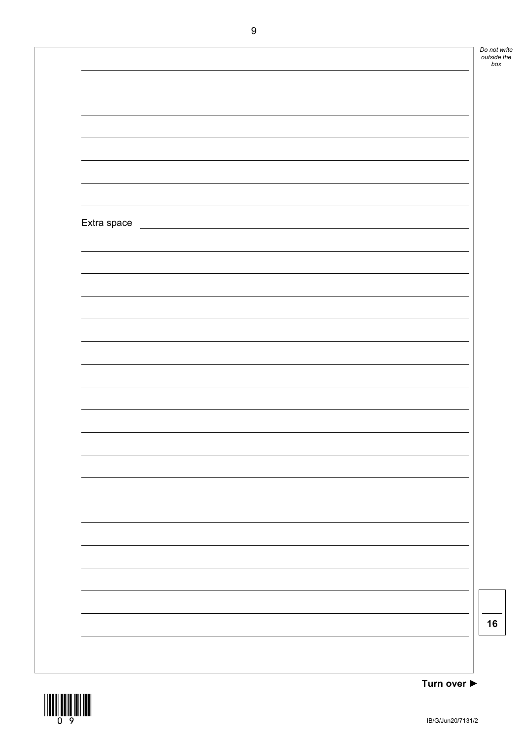*Do not write outside the box*

| Extra space |  |  |
|-------------|--|--|
|             |  |  |
|             |  |  |
|             |  |  |
|             |  |  |
|             |  |  |
|             |  |  |
|             |  |  |
|             |  |  |
|             |  |  |
|             |  |  |
|             |  |  |
|             |  |  |
|             |  |  |
|             |  |  |
|             |  |  |
|             |  |  |
|             |  |  |
|             |  |  |
|             |  |  |
|             |  |  |
|             |  |  |
|             |  |  |
|             |  |  |
|             |  |  |
|             |  |  |
|             |  |  |
|             |  |  |
|             |  |  |
|             |  |  |
|             |  |  |



**16**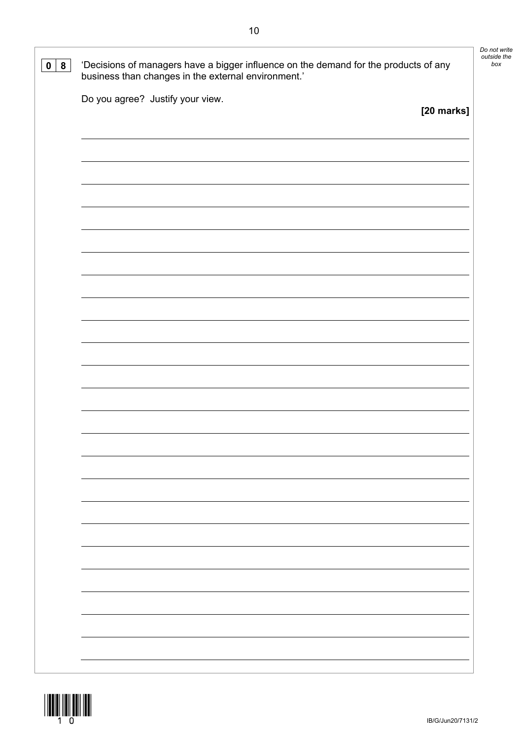| 8<br>$\mathbf 0$ | 'Decisions of managers have a bigger influence on the demand for the products of any<br>business than changes in the external environment.' | Do not write<br>outside the<br>box |
|------------------|---------------------------------------------------------------------------------------------------------------------------------------------|------------------------------------|
|                  | Do you agree? Justify your view.<br>[20 marks]                                                                                              |                                    |
|                  |                                                                                                                                             |                                    |
|                  |                                                                                                                                             |                                    |
|                  |                                                                                                                                             |                                    |
|                  |                                                                                                                                             |                                    |
|                  |                                                                                                                                             |                                    |
|                  |                                                                                                                                             |                                    |
|                  |                                                                                                                                             |                                    |
|                  |                                                                                                                                             |                                    |
|                  |                                                                                                                                             |                                    |
|                  |                                                                                                                                             |                                    |
|                  |                                                                                                                                             |                                    |
|                  |                                                                                                                                             |                                    |
|                  |                                                                                                                                             |                                    |
|                  |                                                                                                                                             |                                    |

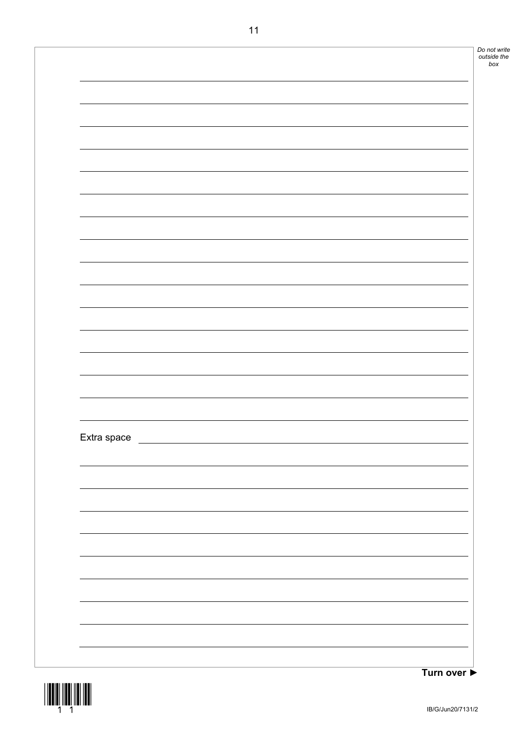| Extra space |  |  |  | Do not write<br>outside the |
|-------------|--|--|--|-----------------------------|
|             |  |  |  |                             |
|             |  |  |  |                             |
|             |  |  |  |                             |
|             |  |  |  |                             |
|             |  |  |  |                             |
|             |  |  |  |                             |
|             |  |  |  |                             |
|             |  |  |  |                             |
|             |  |  |  |                             |
|             |  |  |  |                             |
|             |  |  |  |                             |
|             |  |  |  |                             |
|             |  |  |  |                             |
|             |  |  |  |                             |
|             |  |  |  |                             |
|             |  |  |  |                             |
|             |  |  |  |                             |
|             |  |  |  |                             |
|             |  |  |  |                             |
|             |  |  |  |                             |
|             |  |  |  |                             |
|             |  |  |  |                             |
|             |  |  |  |                             |
|             |  |  |  |                             |
|             |  |  |  |                             |
|             |  |  |  |                             |
|             |  |  |  |                             |
|             |  |  |  |                             |
|             |  |  |  |                             |
|             |  |  |  |                             |
|             |  |  |  |                             |
|             |  |  |  |                             |
|             |  |  |  |                             |
|             |  |  |  |                             |
|             |  |  |  |                             |
|             |  |  |  |                             |
|             |  |  |  |                             |
|             |  |  |  |                             |
|             |  |  |  |                             |
|             |  |  |  |                             |
|             |  |  |  |                             |
|             |  |  |  |                             |
|             |  |  |  |                             |
|             |  |  |  |                             |
|             |  |  |  |                             |
|             |  |  |  |                             |
|             |  |  |  |                             |
|             |  |  |  |                             |



**Turn over ►**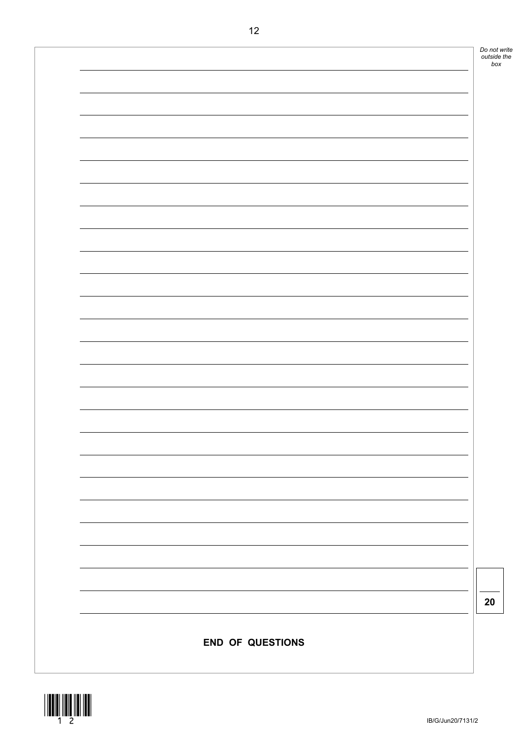

**20**



| 12                      |
|-------------------------|
|                         |
|                         |
|                         |
|                         |
|                         |
|                         |
|                         |
|                         |
|                         |
|                         |
|                         |
|                         |
|                         |
|                         |
|                         |
|                         |
|                         |
|                         |
|                         |
|                         |
|                         |
|                         |
|                         |
|                         |
|                         |
|                         |
|                         |
|                         |
|                         |
| <b>END OF QUESTIONS</b> |
|                         |
|                         |

*Do not write outside the box*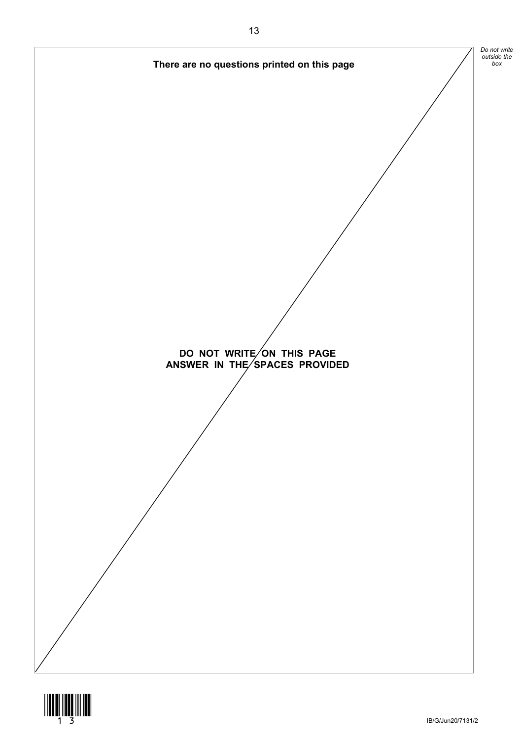

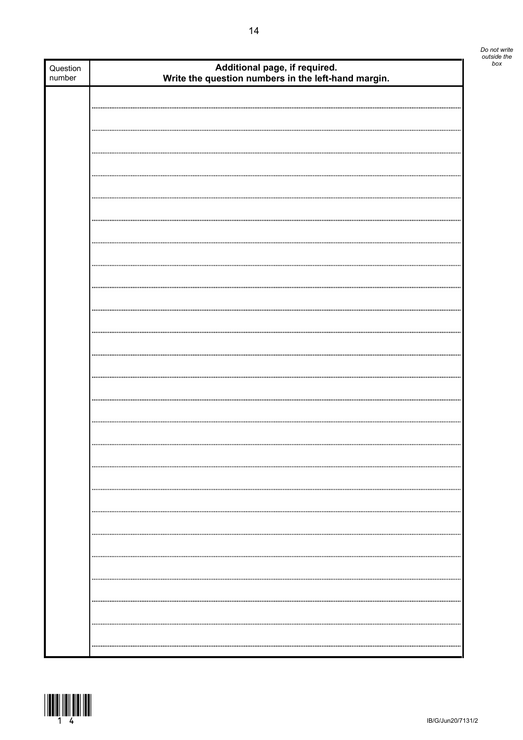| Question<br>number | Additional page, if required.<br>Write the question numbers in the left-hand margin. |  |
|--------------------|--------------------------------------------------------------------------------------|--|
|                    |                                                                                      |  |
|                    |                                                                                      |  |
|                    |                                                                                      |  |
|                    |                                                                                      |  |
|                    |                                                                                      |  |
|                    |                                                                                      |  |
|                    |                                                                                      |  |
|                    |                                                                                      |  |
|                    |                                                                                      |  |
|                    |                                                                                      |  |
|                    |                                                                                      |  |
|                    |                                                                                      |  |
|                    |                                                                                      |  |
|                    |                                                                                      |  |
|                    |                                                                                      |  |
|                    |                                                                                      |  |
|                    |                                                                                      |  |
|                    |                                                                                      |  |
|                    |                                                                                      |  |
|                    |                                                                                      |  |
|                    |                                                                                      |  |
|                    |                                                                                      |  |
|                    |                                                                                      |  |
|                    |                                                                                      |  |
|                    |                                                                                      |  |
|                    |                                                                                      |  |
|                    |                                                                                      |  |
|                    |                                                                                      |  |
|                    |                                                                                      |  |
|                    |                                                                                      |  |
|                    |                                                                                      |  |
|                    |                                                                                      |  |
|                    |                                                                                      |  |
|                    |                                                                                      |  |
|                    |                                                                                      |  |
|                    |                                                                                      |  |
|                    |                                                                                      |  |



*Do not write outside the*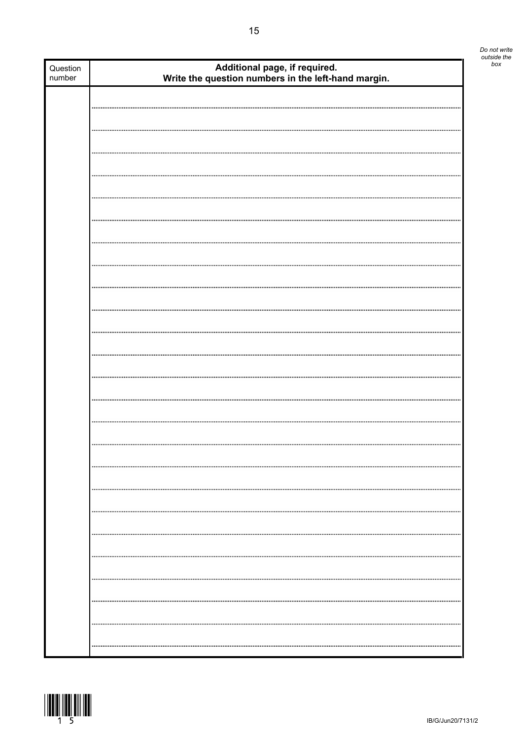| Question<br>number | Additional page, if required.<br>Write the question numbers in the left-hand margin. |  |
|--------------------|--------------------------------------------------------------------------------------|--|
|                    |                                                                                      |  |
|                    |                                                                                      |  |
|                    |                                                                                      |  |
|                    |                                                                                      |  |
|                    |                                                                                      |  |
|                    |                                                                                      |  |
|                    |                                                                                      |  |
|                    |                                                                                      |  |
|                    |                                                                                      |  |
|                    |                                                                                      |  |
|                    |                                                                                      |  |
|                    |                                                                                      |  |
|                    |                                                                                      |  |
|                    |                                                                                      |  |
|                    |                                                                                      |  |
|                    |                                                                                      |  |
|                    |                                                                                      |  |
|                    |                                                                                      |  |
|                    |                                                                                      |  |
|                    |                                                                                      |  |
|                    |                                                                                      |  |
|                    |                                                                                      |  |
|                    |                                                                                      |  |
|                    |                                                                                      |  |
|                    |                                                                                      |  |
|                    |                                                                                      |  |
|                    |                                                                                      |  |
|                    |                                                                                      |  |
|                    |                                                                                      |  |
|                    |                                                                                      |  |
|                    |                                                                                      |  |
|                    |                                                                                      |  |
|                    |                                                                                      |  |
|                    |                                                                                      |  |
|                    |                                                                                      |  |
|                    |                                                                                      |  |
|                    | <br>                                                                                 |  |



*Do not write outside the*